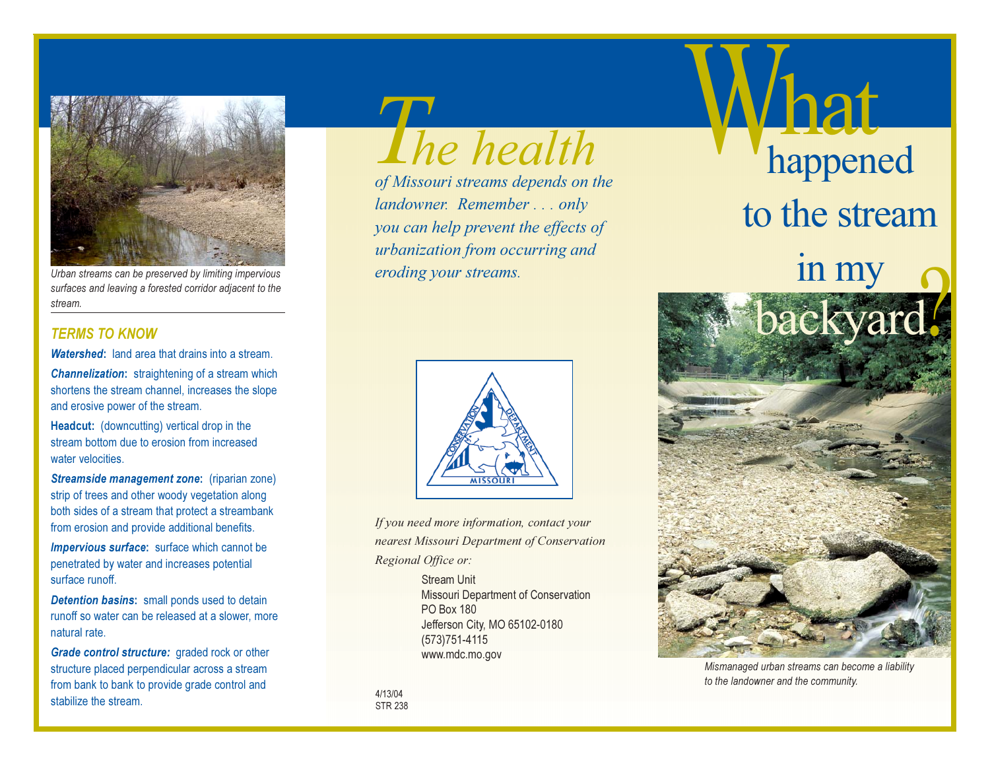

Urban streams can be preserved by limiting impervious surfaces and leaving a forested corridor adjacent to the stream.

## **TERMS TO KNOW**

**Watershed:** land area that drains into a stream.

**Channelization:** straightening of a stream which shortens the stream channel, increases the slope and erosive power of the stream.

Headcut: (downcutting) vertical drop in the stream bottom due to erosion from increased water velocities.

Streamside management zone: (riparian zone) strip of trees and other woody vegetation along both sides of a stream that protect a streambank from erosion and provide additional benefits.

**Impervious surface:** surface which cannot be penetrated by water and increases potential surface runoff.

**Detention basins:** small ponds used to detain runoff so water can be released at a slower, more natural rate.

Grade control structure: graded rock or other structure placed perpendicular across a stream from bank to bank to provide grade control and stabilize the stream.

The health

of Missouri streams depends on the landowner. Remember...only you can help prevent the effects of urbanization from occurring and eroding your streams.



If you need more information, contact your nearest Missouri Department of Conservation Regional Office or:

> **Stream Unit** Missouri Department of Conservation **PO Box 180** Jefferson City, MO 65102-0180  $(573)751 - 4115$ www.mdc.mo.gov

4/13/04 **STR 238** 



Mismanaged urban streams can become a liability to the landowner and the community.